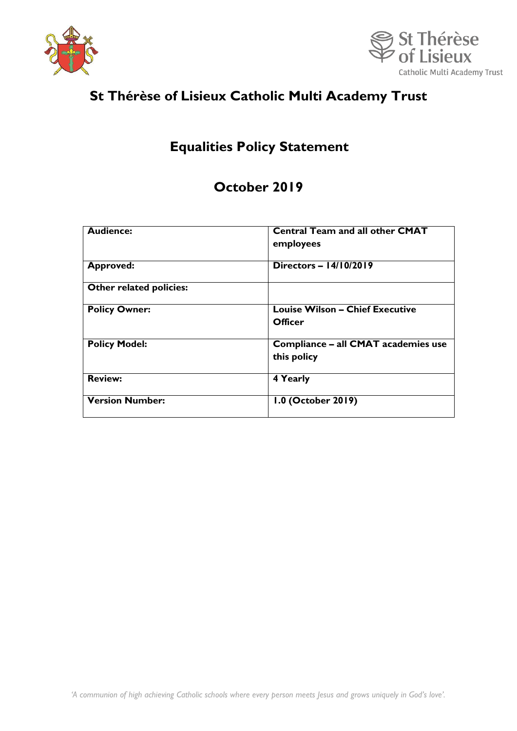



# **St Thérèse of Lisieux Catholic Multi Academy Trust**

## **Equalities Policy Statement**

## **October 2019**

| <b>Audience:</b>        | <b>Central Team and all other CMAT</b><br>employees      |
|-------------------------|----------------------------------------------------------|
| <b>Approved:</b>        | Directors - $14/10/2019$                                 |
| Other related policies: |                                                          |
| <b>Policy Owner:</b>    | <b>Louise Wilson - Chief Executive</b><br><b>Officer</b> |
| <b>Policy Model:</b>    | Compliance - all CMAT academies use<br>this policy       |
| <b>Review:</b>          | 4 Yearly                                                 |
| <b>Version Number:</b>  | 1.0 (October 2019)                                       |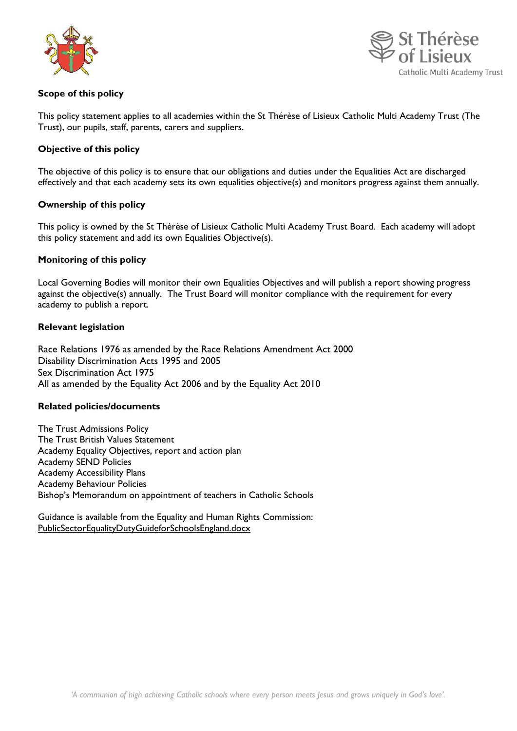



## **Scope of this policy**

This policy statement applies to all academies within the St Thérèse of Lisieux Catholic Multi Academy Trust (The Trust), our pupils, staff, parents, carers and suppliers.

## **Objective of this policy**

The objective of this policy is to ensure that our obligations and duties under the Equalities Act are discharged effectively and that each academy sets its own equalities objective(s) and monitors progress against them annually.

### **Ownership of this policy**

This policy is owned by the St Thérèse of Lisieux Catholic Multi Academy Trust Board. Each academy will adopt this policy statement and add its own Equalities Objective(s).

### **Monitoring of this policy**

Local Governing Bodies will monitor their own Equalities Objectives and will publish a report showing progress against the objective(s) annually. The Trust Board will monitor compliance with the requirement for every academy to publish a report.

### **Relevant legislation**

Race Relations 1976 as amended by the Race Relations Amendment Act 2000 Disability Discrimination Acts 1995 and 2005 Sex Discrimination Act 1975 All as amended by the Equality Act 2006 and by the Equality Act 2010

#### **Related policies/documents**

The Trust Admissions Policy The Trust British Values Statement Academy Equality Objectives, report and action plan Academy SEND Policies Academy Accessibility Plans Academy Behaviour Policies Bishop's Memorandum on appointment of teachers in Catholic Schools

Guidance is available from the Equality and Human Rights Commission: [PublicSectorEqualityDutyGuideforSchoolsEngland.docx](file:///D:/5737/Documents/GoogleDrive/CMAT%20-%20St%20RS/Trust%20Board/Year%20One%20-%20full%20TB%20meetings/TB%20meeting%205%20-%2023rd%20May%202019/PublicSectorEqualityDutyGuideforSchoolsEngland.docx)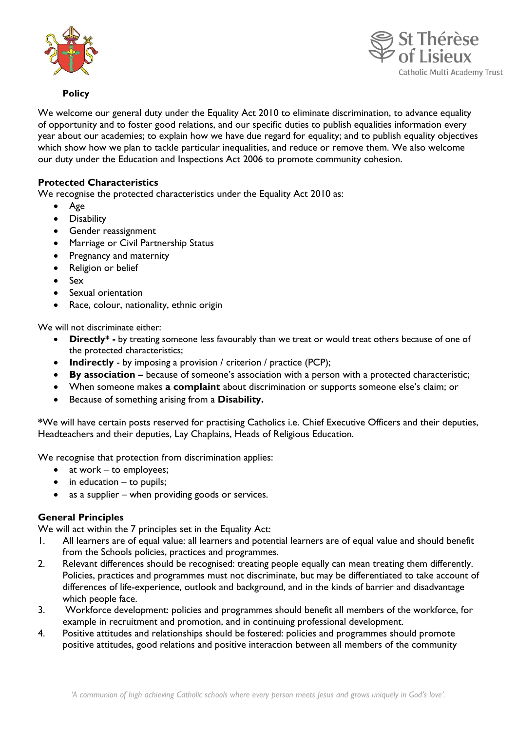



## **Policy**

We welcome our general duty under the Equality Act 2010 to eliminate discrimination, to advance equality of opportunity and to foster good relations, and our specific duties to publish equalities information every year about our academies; to explain how we have due regard for equality; and to publish equality objectives which show how we plan to tackle particular inequalities, and reduce or remove them. We also welcome our duty under the Education and Inspections Act 2006 to promote community cohesion.

## **Protected Characteristics**

We recognise the protected characteristics under the Equality Act 2010 as:

- Age
- **•** Disability
- **•** Gender reassignment
- Marriage or Civil Partnership Status
- Pregnancy and maternity
- Religion or belief
- Sex
- Sexual orientation
- Race, colour, nationality, ethnic origin

We will not discriminate either:

- **Directly\* -** by treating someone less favourably than we treat or would treat others because of one of the protected characteristics;
- **Indirectly** by imposing a provision / criterion / practice (PCP);
- **By association –** because of someone's association with a person with a protected characteristic;
- When someone makes **a complaint** about discrimination or supports someone else's claim; or
- Because of something arising from a **Disability.**

**\***We will have certain posts reserved for practising Catholics i.e. Chief Executive Officers and their deputies, Headteachers and their deputies, Lay Chaplains, Heads of Religious Education.

We recognise that protection from discrimination applies:

- $\bullet$  at work to employees;
- $\bullet$  in education to pupils;
- as a supplier when providing goods or services.

## **General Principles**

We will act within the 7 principles set in the Equality Act:

- 1. All learners are of equal value: all learners and potential learners are of equal value and should benefit from the Schools policies, practices and programmes.
- 2. Relevant differences should be recognised: treating people equally can mean treating them differently. Policies, practices and programmes must not discriminate, but may be differentiated to take account of differences of life-experience, outlook and background, and in the kinds of barrier and disadvantage which people face.
- 3. Workforce development: policies and programmes should benefit all members of the workforce, for example in recruitment and promotion, and in continuing professional development.
- 4. Positive attitudes and relationships should be fostered: policies and programmes should promote positive attitudes, good relations and positive interaction between all members of the community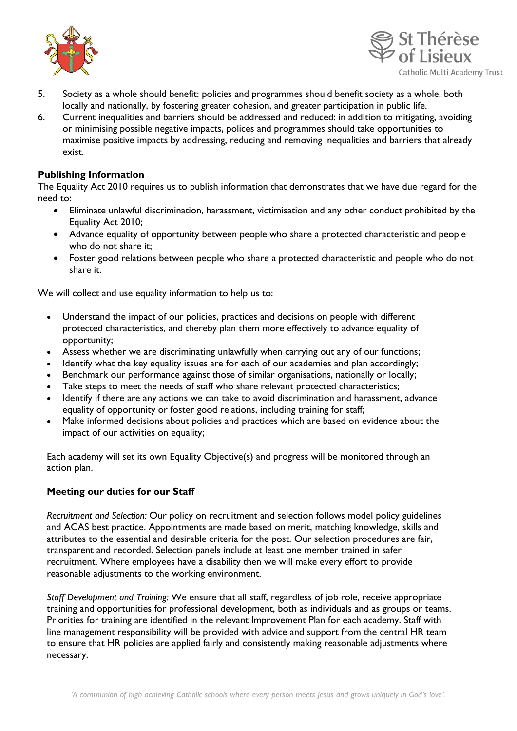



- 5. Society as a whole should benefit: policies and programmes should benefit society as a whole, both locally and nationally, by fostering greater cohesion, and greater participation in public life.
- 6. Current inequalities and barriers should be addressed and reduced: in addition to mitigating, avoiding or minimising possible negative impacts, polices and programmes should take opportunities to maximise positive impacts by addressing, reducing and removing inequalities and barriers that already exist.

## **Publishing Information**

The Equality Act 2010 requires us to publish information that demonstrates that we have due regard for the need to:

- Eliminate unlawful discrimination, harassment, victimisation and any other conduct prohibited by the Equality Act 2010;
- Advance equality of opportunity between people who share a protected characteristic and people who do not share it;
- Foster good relations between people who share a protected characteristic and people who do not share it.

We will collect and use equality information to help us to:

- Understand the impact of our policies, practices and decisions on people with different protected characteristics, and thereby plan them more effectively to advance equality of opportunity;
- Assess whether we are discriminating unlawfully when carrying out any of our functions;
- Identify what the key equality issues are for each of our academies and plan accordingly;
- Benchmark our performance against those of similar organisations, nationally or locally;
- Take steps to meet the needs of staff who share relevant protected characteristics;
- Identify if there are any actions we can take to avoid discrimination and harassment, advance equality of opportunity or foster good relations, including training for staff;
- Make informed decisions about policies and practices which are based on evidence about the impact of our activities on equality;

Each academy will set its own Equality Objective(s) and progress will be monitored through an action plan.

## **Meeting our duties for our Staff**

*Recruitment and Selection:* Our policy on recruitment and selection follows model policy guidelines and ACAS best practice. Appointments are made based on merit, matching knowledge, skills and attributes to the essential and desirable criteria for the post. Our selection procedures are fair, transparent and recorded. Selection panels include at least one member trained in safer recruitment. Where employees have a disability then we will make every effort to provide reasonable adjustments to the working environment.

*Staff Development and Training:* We ensure that all staff, regardless of job role, receive appropriate training and opportunities for professional development, both as individuals and as groups or teams. Priorities for training are identified in the relevant Improvement Plan for each academy. Staff with line management responsibility will be provided with advice and support from the central HR team to ensure that HR policies are applied fairly and consistently making reasonable adjustments where necessary.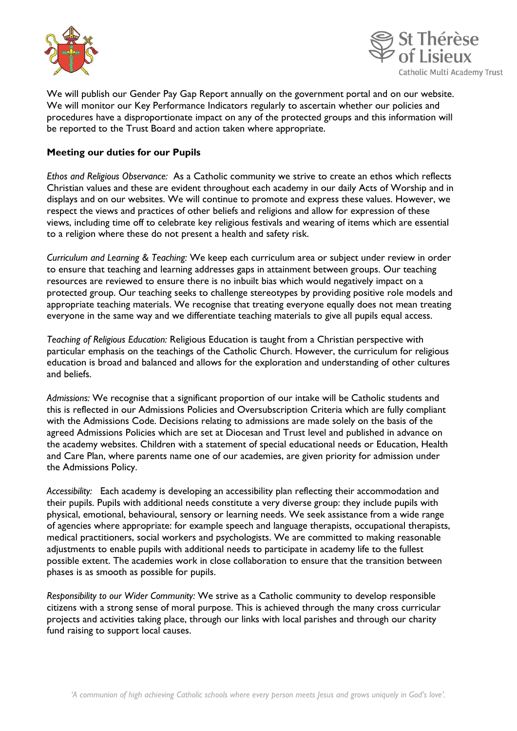



We will publish our Gender Pay Gap Report annually on the government portal and on our website. We will monitor our Key Performance Indicators regularly to ascertain whether our policies and procedures have a disproportionate impact on any of the protected groups and this information will be reported to the Trust Board and action taken where appropriate.

## **Meeting our duties for our Pupils**

*Ethos and Religious Observance:* As a Catholic community we strive to create an ethos which reflects Christian values and these are evident throughout each academy in our daily Acts of Worship and in displays and on our websites. We will continue to promote and express these values. However, we respect the views and practices of other beliefs and religions and allow for expression of these views, including time off to celebrate key religious festivals and wearing of items which are essential to a religion where these do not present a health and safety risk.

*Curriculum and Learning & Teaching:* We keep each curriculum area or subject under review in order to ensure that teaching and learning addresses gaps in attainment between groups. Our teaching resources are reviewed to ensure there is no inbuilt bias which would negatively impact on a protected group. Our teaching seeks to challenge stereotypes by providing positive role models and appropriate teaching materials. We recognise that treating everyone equally does not mean treating everyone in the same way and we differentiate teaching materials to give all pupils equal access.

*Teaching of Religious Education:* Religious Education is taught from a Christian perspective with particular emphasis on the teachings of the Catholic Church. However, the curriculum for religious education is broad and balanced and allows for the exploration and understanding of other cultures and beliefs.

*Admissions:* We recognise that a significant proportion of our intake will be Catholic students and this is reflected in our Admissions Policies and Oversubscription Criteria which are fully compliant with the Admissions Code. Decisions relating to admissions are made solely on the basis of the agreed Admissions Policies which are set at Diocesan and Trust level and published in advance on the academy websites. Children with a statement of special educational needs or Education, Health and Care Plan, where parents name one of our academies, are given priority for admission under the Admissions Policy.

*Accessibility:* Each academy is developing an accessibility plan reflecting their accommodation and their pupils. Pupils with additional needs constitute a very diverse group: they include pupils with physical, emotional, behavioural, sensory or learning needs. We seek assistance from a wide range of agencies where appropriate: for example speech and language therapists, occupational therapists, medical practitioners, social workers and psychologists. We are committed to making reasonable adjustments to enable pupils with additional needs to participate in academy life to the fullest possible extent. The academies work in close collaboration to ensure that the transition between phases is as smooth as possible for pupils.

*Responsibility to our Wider Community:* We strive as a Catholic community to develop responsible citizens with a strong sense of moral purpose. This is achieved through the many cross curricular projects and activities taking place, through our links with local parishes and through our charity fund raising to support local causes.